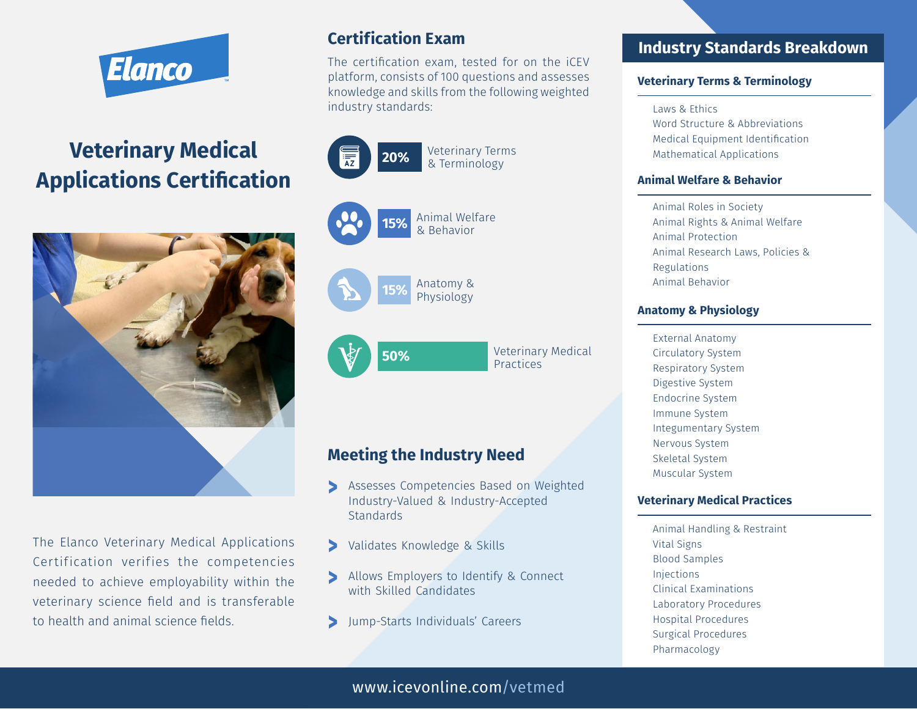

# **Veterinary Medical Applications Certification**



The Elanco Veterinary Medical Applications Certification verifies the competencies needed to achieve employability within the veterinary science field and is transferable to health and animal science fields.

# **Certification Exam**

The certification exam, tested for on the iCEV platform, consists of 100 questions and assesses knowledge and skills from the following weighted industry standards:

> Animal Welfare & Behavior **15%**

Anatomy &









Veterinary Medical **50%** Veterinar<br>Practices

# **Meeting the Industry Need**

- Assesses Competencies Based on Weighted **^** Industry-Valued & Industry-Accepted **Standards**
- Validates Knowledge & Skills **^**
- Allows Employers to Identify & Connect **^** with Skilled Candidates
	- Jump-Starts Individuals' Careers **^**

## **Industry Standards Breakdown**

#### **Veterinary Terms & Terminology**

Laws & Ethics

Word Structure & Abbreviations Medical Equipment Identification Mathematical Applications

#### **Animal Welfare & Behavior**

Animal Roles in Society Animal Rights & Animal Welfare Animal Protection Animal Research Laws, Policies & Regulations Animal Behavior

#### **Anatomy & Physiology**

External Anatomy Circulatory System Respiratory System Digestive System Endocrine System Immune System Integumentary System Nervous System Skeletal System Muscular System

#### **Veterinary Medical Practices**

Animal Handling & Restraint Vital Signs Blood Samples Injections Clinical Examinations Laboratory Procedures Hospital Procedures Surgical Procedures Pharmacology

www.icevonline.com/vetmed